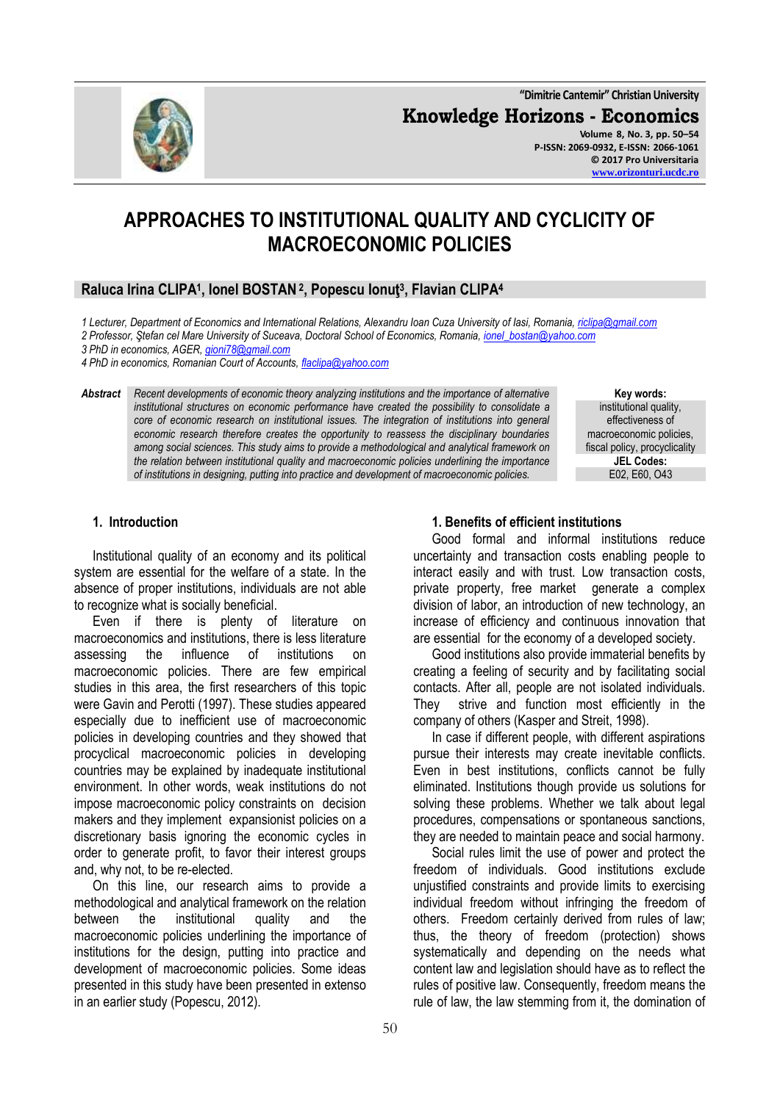**"Dimitrie Cantemir" Christian University Knowledge Horizons - Economics Volume 8, No. 3, pp. 50–54 P-ISSN: 2069-0932, E-ISSN: 2066-1061**

# **APPROACHES TO INSTITUTIONAL QUALITY AND CYCLICITY OF MACROECONOMIC POLICIES**

# **Raluca Irina CLIPA<sup>1</sup> , Ionel BOSTAN<sup>2</sup> , Popescu Ionuţ<sup>3</sup> , Flavian CLIPA<sup>4</sup>**

*1 Lecturer, Department of Economics and International Relations, Alexandru Ioan Cuza University of Iasi, Romania, [riclipa@gmail.com](mailto:riclipa@gmail.com) 2 Professor, Ştefan cel Mare University of Suceava, Doctoral School of Economics, Romania[, ionel\\_bostan@yahoo.com](mailto:ionel_bostan@yahoo.com)*

*3 PhD in economics, AGER, [gioni78@gmail.com](mailto:gioni78@gmail.com)* 

*4 PhD in economics, Romanian Court of Accounts[, flaclipa@yahoo.com](mailto:flaclipa@yahoo.com)*

*Abstract Recent developments of economic theory analyzing institutions and the importance of alternative institutional structures on economic performance have created the possibility to consolidate a core of economic research on institutional issues. The integration of institutions into general economic research therefore creates the opportunity to reassess the disciplinary boundaries among social sciences. This study aims to provide a methodological and analytical framework on the relation between institutional quality and macroeconomic policies underlining the importance of institutions in designing, putting into practice and development of macroeconomic policies.*

**Key words:** institutional quality, effectiveness of macroeconomic policies, fiscal policy, procyclicality **JEL Codes:** E02, E60, O43

#### **1. Introduction**

Institutional quality of an economy and its political system are essential for the welfare of a state. In the absence of proper institutions, individuals are not able to recognize what is socially beneficial.

Even if there is plenty of literature on macroeconomics and institutions, there is less literature assessing the influence of institutions on macroeconomic policies. There are few empirical studies in this area, the first researchers of this topic were Gavin and Perotti (1997). These studies appeared especially due to inefficient use of macroeconomic policies in developing countries and they showed that procyclical macroeconomic policies in developing countries may be explained by inadequate institutional environment. In other words, weak institutions do not impose macroeconomic policy constraints on decision makers and they implement expansionist policies on a discretionary basis ignoring the economic cycles in order to generate profit, to favor their interest groups and, why not, to be re-elected.

On this line, our research aims to provide a methodological and analytical framework on the relation between the institutional quality and the macroeconomic policies underlining the importance of institutions for the design, putting into practice and development of macroeconomic policies. Some ideas presented in this study have been presented in extenso in an earlier study (Popescu, 2012).

#### **1. Benefits of efficient institutions**

Good formal and informal institutions reduce uncertainty and transaction costs enabling people to interact easily and with trust. Low transaction costs, private property, free market generate a complex division of labor, an introduction of new technology, an increase of efficiency and continuous innovation that are essential for the economy of a developed society.

Good institutions also provide immaterial benefits by creating a feeling of security and by facilitating social contacts. After all, people are not isolated individuals. They strive and function most efficiently in the company of others (Kasper and Streit, 1998).

In case if different people, with different aspirations pursue their interests may create inevitable conflicts. Even in best institutions, conflicts cannot be fully eliminated. Institutions though provide us solutions for solving these problems. Whether we talk about legal procedures, compensations or spontaneous sanctions, they are needed to maintain peace and social harmony.

Social rules limit the use of power and protect the freedom of individuals. Good institutions exclude unjustified constraints and provide limits to exercising individual freedom without infringing the freedom of others. Freedom certainly derived from rules of law; thus, the theory of freedom (protection) shows systematically and depending on the needs what content law and legislation should have as to reflect the rules of positive law. Consequently, freedom means the rule of law, the law stemming from it, the domination of

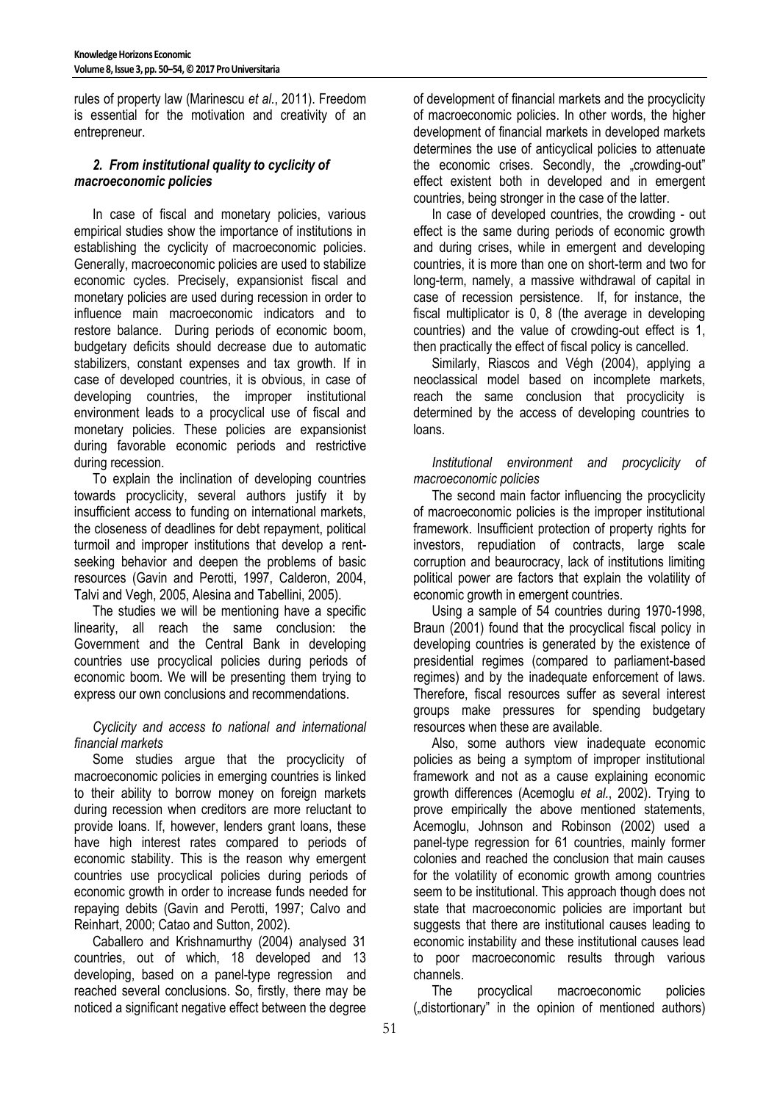rules of property law (Marinescu *et al.*, 2011). Freedom is essential for the motivation and creativity of an entrepreneur.

## *2. From institutional quality to cyclicity of macroeconomic policies*

In case of fiscal and monetary policies, various empirical studies show the importance of institutions in establishing the cyclicity of macroeconomic policies. Generally, macroeconomic policies are used to stabilize economic cycles. Precisely, expansionist fiscal and monetary policies are used during recession in order to influence main macroeconomic indicators and to restore balance. During periods of economic boom, budgetary deficits should decrease due to automatic stabilizers, constant expenses and tax growth. If in case of developed countries, it is obvious, in case of developing countries, the improper institutional environment leads to a procyclical use of fiscal and monetary policies. These policies are expansionist during favorable economic periods and restrictive during recession.

To explain the inclination of developing countries towards procyclicity, several authors justify it by insufficient access to funding on international markets, the closeness of deadlines for debt repayment, political turmoil and improper institutions that develop a rentseeking behavior and deepen the problems of basic resources (Gavin and Perotti, 1997, Calderon, 2004, Talvi and Vegh, 2005, Alesina and Tabellini, 2005).

The studies we will be mentioning have a specific linearity, all reach the same conclusion: the Government and the Central Bank in developing countries use procyclical policies during periods of economic boom. We will be presenting them trying to express our own conclusions and recommendations.

*Cyclicity and access to national and international financial markets* 

Some studies argue that the procyclicity of macroeconomic policies in emerging countries is linked to their ability to borrow money on foreign markets during recession when creditors are more reluctant to provide loans. If, however, lenders grant loans, these have high interest rates compared to periods of economic stability. This is the reason why emergent countries use procyclical policies during periods of economic growth in order to increase funds needed for repaying debits (Gavin and Perotti, 1997; Calvo and Reinhart, 2000; Catao and Sutton, 2002).

Caballero and Krishnamurthy (2004) analysed 31 countries, out of which, 18 developed and 13 developing, based on a panel-type regression and reached several conclusions. So, firstly, there may be noticed a significant negative effect between the degree

of development of financial markets and the procyclicity of macroeconomic policies. In other words, the higher development of financial markets in developed markets determines the use of anticyclical policies to attenuate the economic crises. Secondly, the "crowding-out" effect existent both in developed and in emergent countries, being stronger in the case of the latter.

In case of developed countries, the crowding - out effect is the same during periods of economic growth and during crises, while in emergent and developing countries, it is more than one on short-term and two for long-term, namely, a massive withdrawal of capital in case of recession persistence. If, for instance, the fiscal multiplicator is 0, 8 (the average in developing countries) and the value of crowding-out effect is 1, then practically the effect of fiscal policy is cancelled.

Similarly, Riascos and Végh (2004), applying a neoclassical model based on incomplete markets, reach the same conclusion that procyclicity is determined by the access of developing countries to loans.

*Institutional environment and procyclicity of macroeconomic policies* 

The second main factor influencing the procyclicity of macroeconomic policies is the improper institutional framework. Insufficient protection of property rights for investors, repudiation of contracts, large scale corruption and beaurocracy, lack of institutions limiting political power are factors that explain the volatility of economic growth in emergent countries.

Using a sample of 54 countries during 1970-1998, Braun (2001) found that the procyclical fiscal policy in developing countries is generated by the existence of presidential regimes (compared to parliament-based regimes) and by the inadequate enforcement of laws. Therefore, fiscal resources suffer as several interest groups make pressures for spending budgetary resources when these are available.

Also, some authors view inadequate economic policies as being a symptom of improper institutional framework and not as a cause explaining economic growth differences (Acemoglu *et al.*, 2002). Trying to prove empirically the above mentioned statements, Acemoglu, Johnson and Robinson (2002) used a panel-type regression for 61 countries, mainly former colonies and reached the conclusion that main causes for the volatility of economic growth among countries seem to be institutional. This approach though does not state that macroeconomic policies are important but suggests that there are institutional causes leading to economic instability and these institutional causes lead to poor macroeconomic results through various channels.

The procyclical macroeconomic policies ("distortionary" in the opinion of mentioned authors)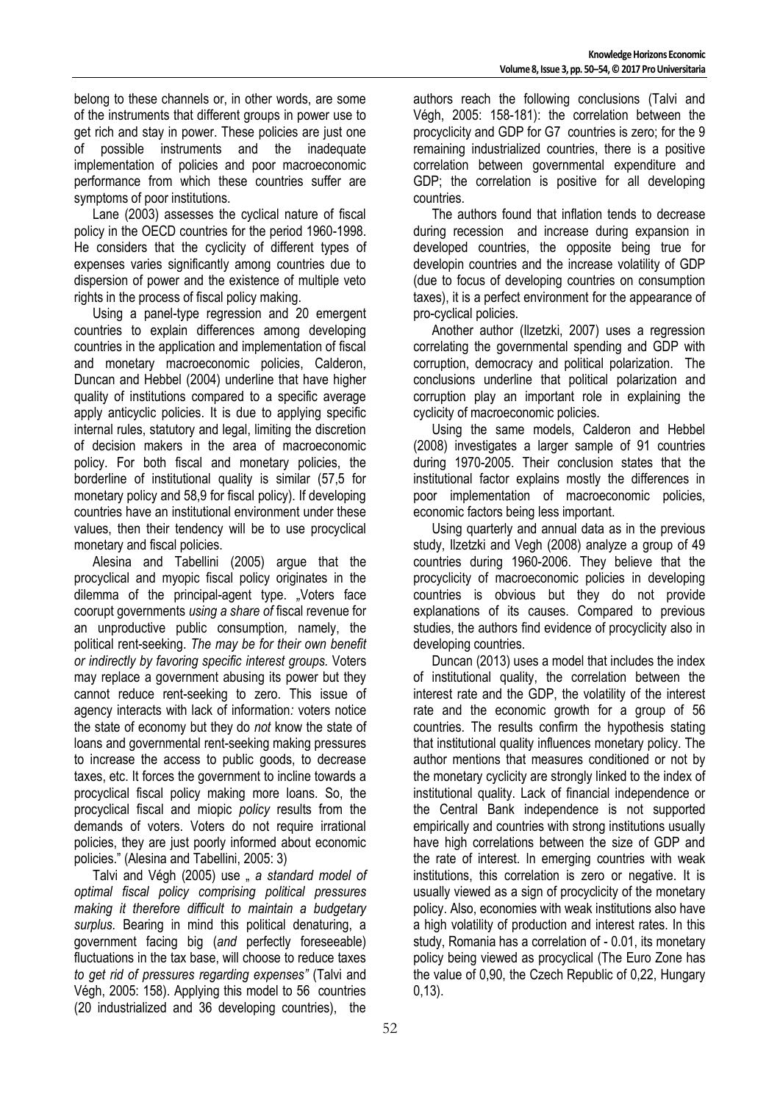belong to these channels or, in other words, are some of the instruments that different groups in power use to get rich and stay in power. These policies are just one of possible instruments and the inadequate implementation of policies and poor macroeconomic performance from which these countries suffer are symptoms of poor institutions.

Lane (2003) assesses the cyclical nature of fiscal policy in the OECD countries for the period 1960-1998. He considers that the cyclicity of different types of expenses varies significantly among countries due to dispersion of power and the existence of multiple veto rights in the process of fiscal policy making.

Using a panel-type regression and 20 emergent countries to explain differences among developing countries in the application and implementation of fiscal and monetary macroeconomic policies, Calderon, Duncan and Hebbel (2004) underline that have higher quality of institutions compared to a specific average apply anticyclic policies. It is due to applying specific internal rules, statutory and legal, limiting the discretion of decision makers in the area of macroeconomic policy. For both fiscal and monetary policies, the borderline of institutional quality is similar (57,5 for monetary policy and 58,9 for fiscal policy). If developing countries have an institutional environment under these values, then their tendency will be to use procyclical monetary and fiscal policies.

Alesina and Tabellini (2005) argue that the procyclical and myopic fiscal policy originates in the dilemma of the principal-agent type. *"*Voters face coorupt governments *using a share of* fiscal revenue for an unproductive public consumption*,* namely, the political rent-seeking. *The may be for their own benefit or indirectly by favoring specific interest groups.* Voters may replace a government abusing its power but they cannot reduce rent-seeking to zero. This issue of agency interacts with lack of information*:* voters notice the state of economy but they do *not* know the state of loans and governmental rent-seeking making pressures to increase the access to public goods, to decrease taxes, etc. It forces the government to incline towards a procyclical fiscal policy making more loans. So, the procyclical fiscal and miopic *policy* results from the demands of voters. Voters do not require irrational policies, they are just poorly informed about economic policies." (Alesina and Tabellini, 2005: 3)

Talvi and Végh (2005) use " a standard model of *optimal fiscal policy comprising political pressures making it therefore difficult to maintain a budgetary surplus.* Bearing in mind this political denaturing, a government facing big (*and* perfectly foreseeable) fluctuations in the tax base, will choose to reduce taxes *to get rid of pressures regarding expenses"* (Talvi and Végh, 2005: 158). Applying this model to 56 countries (20 industrialized and 36 developing countries), the

authors reach the following conclusions (Talvi and Végh, 2005: 158-181): the correlation between the procyclicity and GDP for G7 countries is zero; for the 9 remaining industrialized countries, there is a positive correlation between governmental expenditure and GDP; the correlation is positive for all developing countries.

The authors found that inflation tends to decrease during recession and increase during expansion in developed countries, the opposite being true for developin countries and the increase volatility of GDP (due to focus of developing countries on consumption taxes), it is a perfect environment for the appearance of pro-cyclical policies.

Another author (Ilzetzki, 2007) uses a regression correlating the governmental spending and GDP with corruption, democracy and political polarization. The conclusions underline that political polarization and corruption play an important role in explaining the cyclicity of macroeconomic policies.

Using the same models, Calderon and Hebbel (2008) investigates a larger sample of 91 countries during 1970-2005. Their conclusion states that the institutional factor explains mostly the differences in poor implementation of macroeconomic policies, economic factors being less important.

Using quarterly and annual data as in the previous study, Ilzetzki and Vegh (2008) analyze a group of 49 countries during 1960-2006. They believe that the procyclicity of macroeconomic policies in developing countries is obvious but they do not provide explanations of its causes. Compared to previous studies, the authors find evidence of procyclicity also in developing countries.

Duncan (2013) uses a model that includes the index of institutional quality, the correlation between the interest rate and the GDP, the volatility of the interest rate and the economic growth for a group of 56 countries. The results confirm the hypothesis stating that institutional quality influences monetary policy. The author mentions that measures conditioned or not by the monetary cyclicity are strongly linked to the index of institutional quality. Lack of financial independence or the Central Bank independence is not supported empirically and countries with strong institutions usually have high correlations between the size of GDP and the rate of interest. In emerging countries with weak institutions, this correlation is zero or negative. It is usually viewed as a sign of procyclicity of the monetary policy. Also, economies with weak institutions also have a high volatility of production and interest rates. In this study, Romania has a correlation of - 0.01, its monetary policy being viewed as procyclical (The Euro Zone has the value of 0,90, the Czech Republic of 0,22, Hungary 0,13).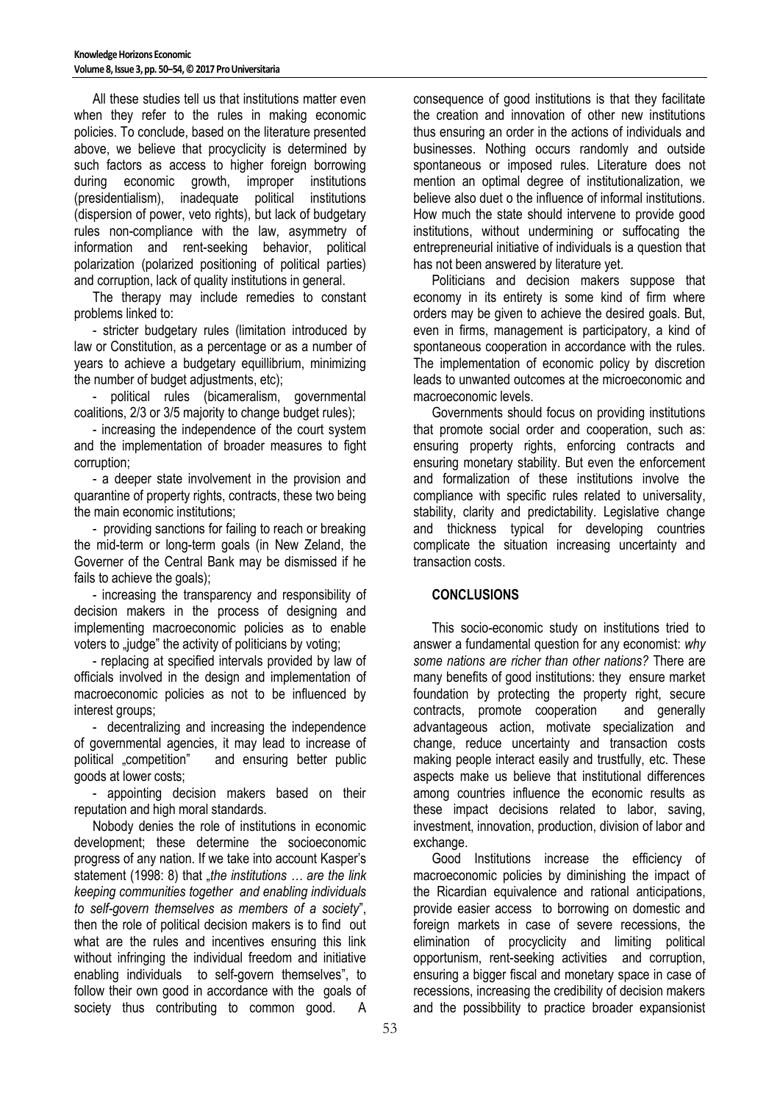All these studies tell us that institutions matter even when they refer to the rules in making economic policies. To conclude, based on the literature presented above, we believe that procyclicity is determined by such factors as access to higher foreign borrowing<br>during economic growth, improper institutions during economic growth, improper institutions (presidentialism), inadequate political institutions (dispersion of power, veto rights), but lack of budgetary rules non-compliance with the law, asymmetry of information and rent-seeking behavior, political polarization (polarized positioning of political parties) and corruption, lack of quality institutions in general.

The therapy may include remedies to constant problems linked to:

- stricter budgetary rules (limitation introduced by law or Constitution, as a percentage or as a number of years to achieve a budgetary equillibrium, minimizing the number of budget adjustments, etc);

- political rules (bicameralism, governmental coalitions, 2/3 or 3/5 majority to change budget rules);

- increasing the independence of the court system and the implementation of broader measures to fight corruption;

- a deeper state involvement in the provision and quarantine of property rights, contracts, these two being the main economic institutions;

- providing sanctions for failing to reach or breaking the mid-term or long-term goals (in New Zeland, the Governer of the Central Bank may be dismissed if he fails to achieve the goals);

- increasing the transparency and responsibility of decision makers in the process of designing and implementing macroeconomic policies as to enable voters to "judge" the activity of politicians by voting;

- replacing at specified intervals provided by law of officials involved in the design and implementation of macroeconomic policies as not to be influenced by interest groups;

- decentralizing and increasing the independence of governmental agencies, it may lead to increase of political .competition" and ensuring better public goods at lower costs;

- appointing decision makers based on their reputation and high moral standards.

Nobody denies the role of institutions in economic development; these determine the socioeconomic progress of any nation. If we take into account Kasper's statement (1998: 8) that *"the institutions ... are the link keeping communities together and enabling individuals to self-govern themselves as members of a society*", then the role of political decision makers is to find out what are the rules and incentives ensuring this link without infringing the individual freedom and initiative enabling individuals to self-govern themselves", to follow their own good in accordance with the goals of society thus contributing to common good. A

consequence of good institutions is that they facilitate the creation and innovation of other new institutions thus ensuring an order in the actions of individuals and businesses. Nothing occurs randomly and outside spontaneous or imposed rules. Literature does not mention an optimal degree of institutionalization, we believe also duet o the influence of informal institutions. How much the state should intervene to provide good institutions, without undermining or suffocating the entrepreneurial initiative of individuals is a question that has not been answered by literature yet.

Politicians and decision makers suppose that economy in its entirety is some kind of firm where orders may be given to achieve the desired goals. But, even in firms, management is participatory, a kind of spontaneous cooperation in accordance with the rules. The implementation of economic policy by discretion leads to unwanted outcomes at the microeconomic and macroeconomic levels.

Governments should focus on providing institutions that promote social order and cooperation, such as: ensuring property rights, enforcing contracts and ensuring monetary stability. But even the enforcement and formalization of these institutions involve the compliance with specific rules related to universality, stability, clarity and predictability. Legislative change and thickness typical for developing countries complicate the situation increasing uncertainty and transaction costs.

## **CONCLUSIONS**

This socio-economic study on institutions tried to answer a fundamental question for any economist: *why some nations are richer than other nations?* There are many benefits of good institutions: they ensure market foundation by protecting the property right, secure contracts, promote cooperation and generally advantageous action, motivate specialization and change, reduce uncertainty and transaction costs making people interact easily and trustfully, etc. These aspects make us believe that institutional differences among countries influence the economic results as these impact decisions related to labor, saving, investment, innovation, production, division of labor and exchange.

Good Institutions increase the efficiency of macroeconomic policies by diminishing the impact of the Ricardian equivalence and rational anticipations, provide easier access to borrowing on domestic and foreign markets in case of severe recessions, the elimination of procyclicity and limiting political opportunism, rent-seeking activities and corruption, ensuring a bigger fiscal and monetary space in case of recessions, increasing the credibility of decision makers and the possibbility to practice broader expansionist